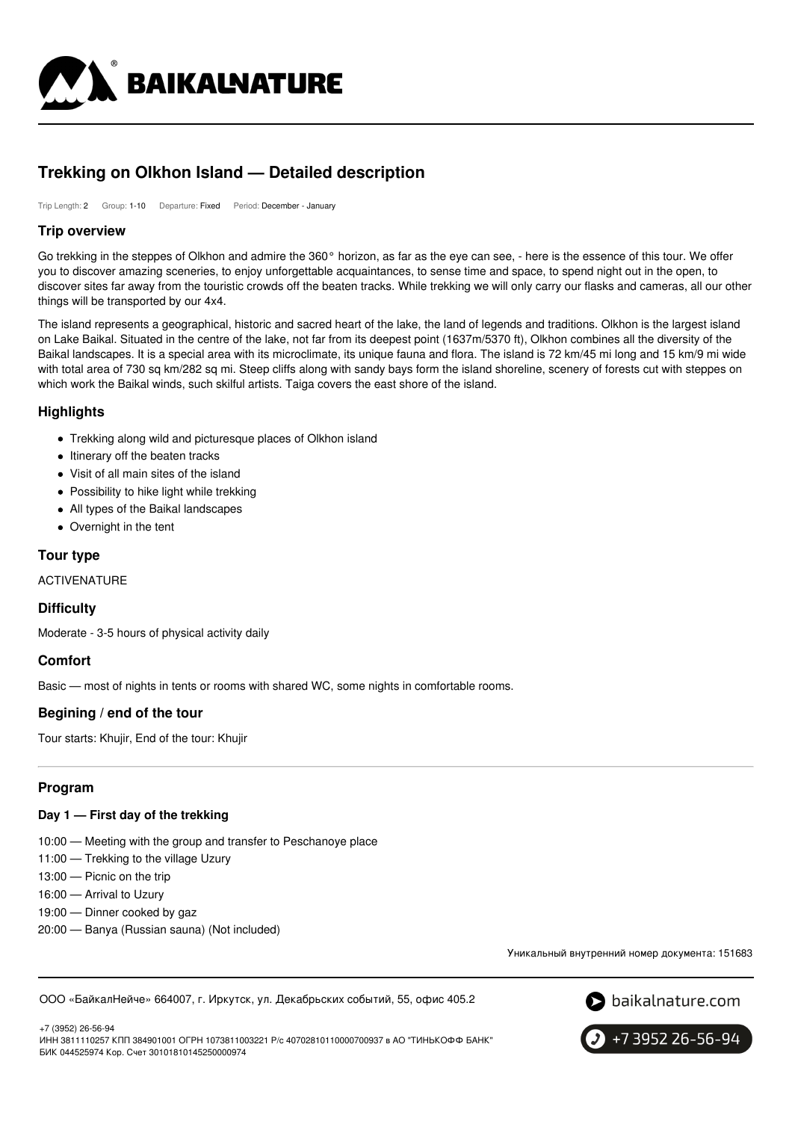

# **Trekking on Olkhon Island — Detailed description**

Trip Length: 2 Group: 1-10 Departure: Fixed Period: December - January

### **Trip overview**

Go trekking in the steppes of Olkhon and admire the 360° horizon, as far as the eye can see, - here is the essence of this tour. We offer you to discover amazing sceneries, to enjoy unforgettable acquaintances, to sense time and space, to spend night out in the open, to discover sites far away from the touristic crowds off the beaten tracks. While trekking we will only carry our flasks and cameras, all our other things will be transported by our 4x4.

The island represents a geographical, historic and sacred heart of the lake, the land of legends and traditions. Olkhon is the largest island on Lake Baikal. Situated in the centre of the lake, not far from its deepest point (1637m/5370 ft), Olkhon combines all the diversity of the Baikal landscapes. It is a special area with its microclimate, its unique fauna and flora. The island is 72 km/45 mi long and 15 km/9 mi wide with total area of 730 sq km/282 sq mi. Steep cliffs along with sandy bays form the island shoreline, scenery of forests cut with steppes on which work the Baikal winds, such skilful artists. Taiga covers the east shore of the island.

# **Highlights**

- Trekking along wild and picturesque places of Olkhon island
- Itinerary off the beaten tracks
- Visit of all main sites of the island
- Possibility to hike light while trekking
- All types of the Baikal landscapes
- Overnight in the tent

# **Tour type**

ACTIVENATURE

# **Difficulty**

Moderate - 3-5 hours of physical activity daily

# **Comfort**

Basic — most of nights in tents or rooms with shared WC, some nights in comfortable rooms.

# **Begining / end of the tour**

Tour starts: Khujir, End of the tour: Khujir

# **Program**

#### **Day 1 — First day of the trekking**

- 10:00 Meeting with the group and transfer to Peschanoye place
- 11:00 Trekking to the village Uzury
- 13:00 Picnic on the trip
- 16:00 Arrival to Uzury
- 19:00 Dinner cooked by gaz
- 20:00 Banya (Russian sauna) (Not included)

Уникальный внутренний номер документа: 151683

ООО «БайкалНейче» 664007, г. Иркутск, ул. Декабрьских событий, 55, офис 405.2



+7 3952 26-56-94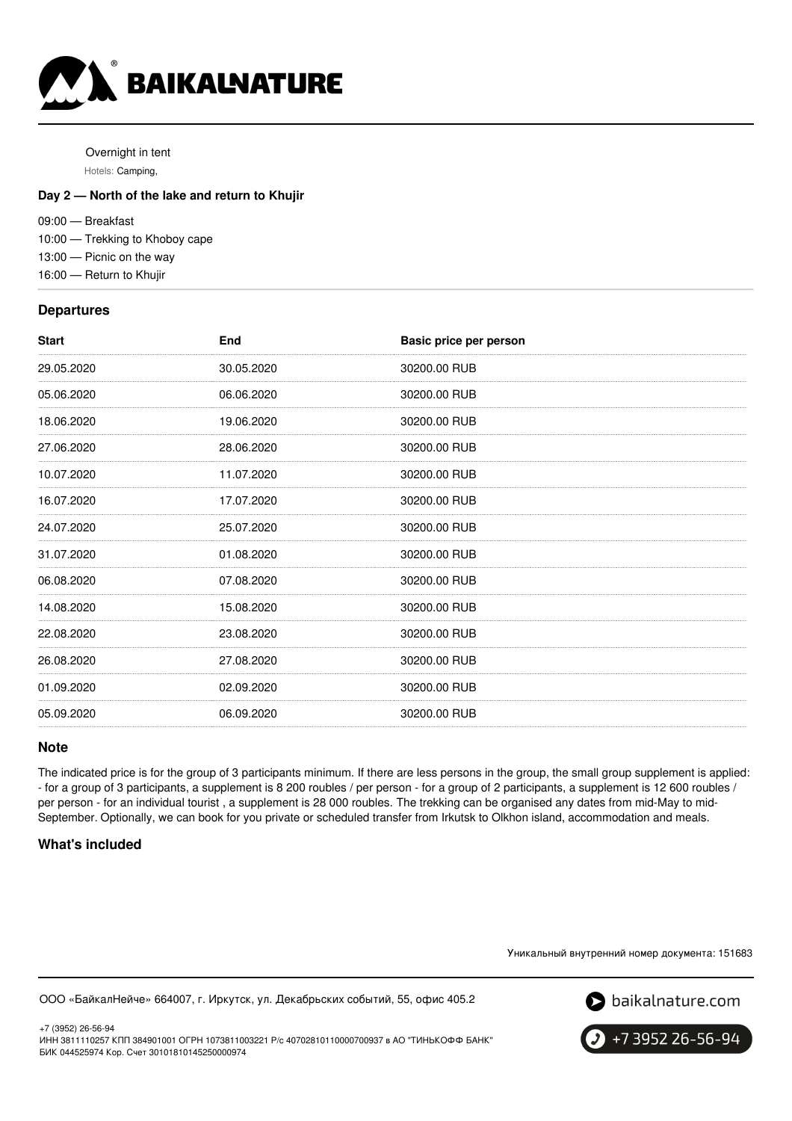

Overnight in tent Hotels: Camping,

### **Day 2 — North of the lake and return to Khujir**

09:00 — Breakfast

10:00 — Trekking to Khoboy cape

13:00 — Picnic on the way

16:00 — Return to Khujir

#### **Departures**

| <b>Start</b> | End        | Basic price per person |
|--------------|------------|------------------------|
| 29.05.2020   | 30.05.2020 | 30200.00 RUB           |
| 05.06.2020   | 06.06.2020 | 30200.00 RUB           |
| 18.06.2020   | 19.06.2020 | 30200.00 RUB           |
| 27.06.2020   | 28.06.2020 | 30200.00 RUB           |
| 10.07.2020   | 11.07.2020 | 30200.00 RUB           |
| 16.07.2020   | 17.07.2020 | 30200.00 RUB           |
| 24.07.2020   | 25.07.2020 | 30200.00 RUB           |
| 31.07.2020   | 01.08.2020 | 30200.00 RUB           |
| 06.08.2020   | 07.08.2020 | 30200.00 RUB           |
| 14.08.2020   | 15.08.2020 | 30200.00 RUB           |
| 22.08.2020   | 23.08.2020 | 30200.00 RUB           |
| 26.08.2020   | 27.08.2020 | 30200.00 RUB           |
| 01.09.2020   | 02.09.2020 | 30200.00 RUB           |
| 05.09.2020   | 06.09.2020 | 30200.00 RUB           |
|              |            |                        |

#### **Note**

The indicated price is for the group of 3 participants minimum. If there are less persons in the group, the small group supplement is applied: - for a group of 3 participants, a supplement is 8 200 roubles / per person - for a group of 2 participants, a supplement is 12 600 roubles / per person - for an individual tourist , a supplement is 28 000 roubles. The trekking can be organised any dates from mid-May to mid-September. Optionally, we can book for you private or scheduled transfer from Irkutsk to Olkhon island, accommodation and meals.

#### **What's included**

Уникальный внутренний номер документа: 151683

ООО «БайкалНейче» 664007, г. Иркутск, ул. Декабрьских событий, 55, офис 405.2



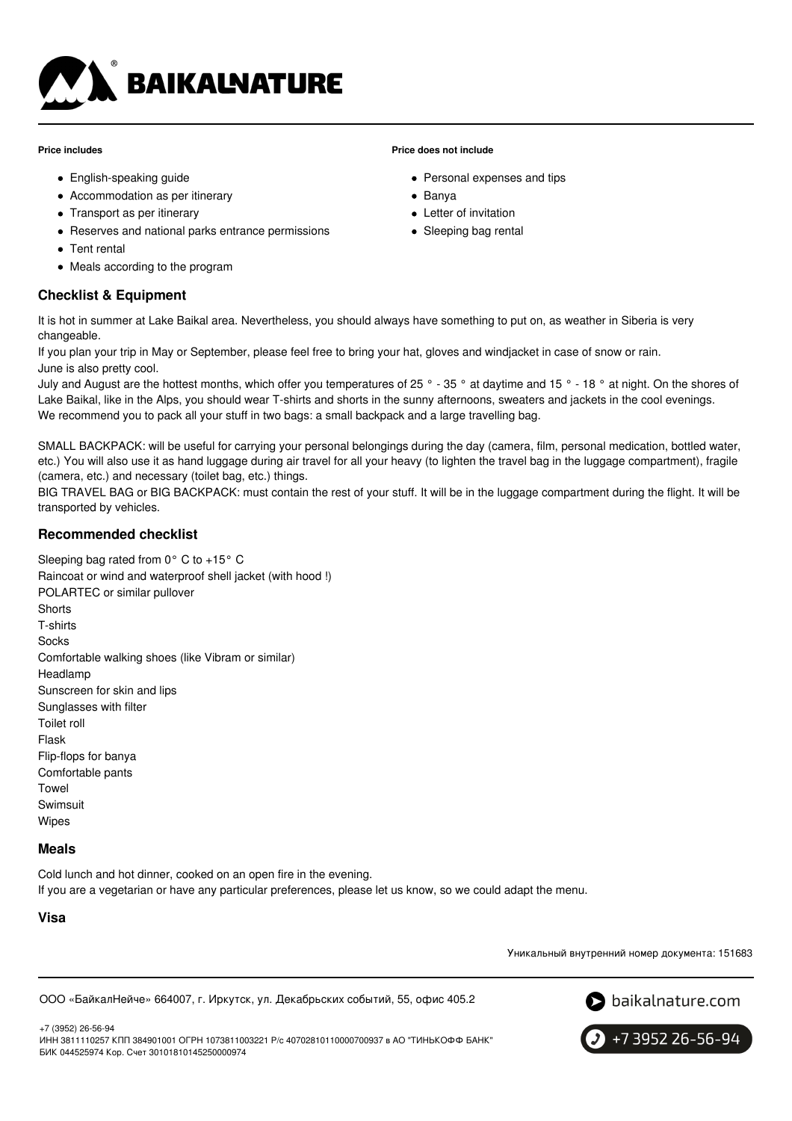

#### **Price includes**

- English-speaking guide
- Accommodation as per itinerary
- Transport as per itinerary
- Reserves and national parks entrance permissions
- Tent rental
- Meals according to the program

# **Checklist & Equipment**

#### **Price does not include**

- Personal expenses and tips
- Banya
- Letter of invitation
- Sleeping bag rental

It is hot in summer at Lake Baikal area. Nevertheless, you should always have something to put on, as weather in Siberia is very changeable.

If you plan your trip in May or September, please feel free to bring your hat, gloves and windjacket in case of snow or rain. June is also pretty cool.

July and August are the hottest months, which offer you temperatures of 25  $\degree$  - 35  $\degree$  at daytime and 15  $\degree$  - 18  $\degree$  at night. On the shores of Lake Baikal, like in the Alps, you should wear T-shirts and shorts in the sunny afternoons, sweaters and jackets in the cool evenings. We recommend you to pack all your stuff in two bags: a small backpack and a large travelling bag.

SMALL BACKPACK: will be useful for carrying your personal belongings during the day (camera, film, personal medication, bottled water, etc.) You will also use it as hand luggage during air travel for all your heavy (to lighten the travel bag in the luggage compartment), fragile (camera, etc.) and necessary (toilet bag, etc.) things.

BIG TRAVEL BAG or BIG BACKPACK: must contain the rest of your stuff. It will be in the luggage compartment during the flight. It will be transported by vehicles.

#### **Recommended checklist**

Sleeping bag rated from 0° C to +15° C Raincoat or wind and waterproof shell jacket (with hood !) POLARTEC or similar pullover **Shorts** T-shirts Socks Comfortable walking shoes (like Vibram or similar) Headlamp Sunscreen for skin and lips Sunglasses with filter Toilet roll Flask Flip-flops for banya Comfortable pants Towel Swimsuit Wipes

#### **Meals**

Cold lunch and hot dinner, cooked on an open fire in the evening. If you are a vegetarian or have any particular preferences, please let us know, so we could adapt the menu.

# **Visa**

Уникальный внутренний номер документа: 151683

ООО «БайкалНейче» 664007, г. Иркутск, ул. Декабрьских событий, 55, офис 405.2



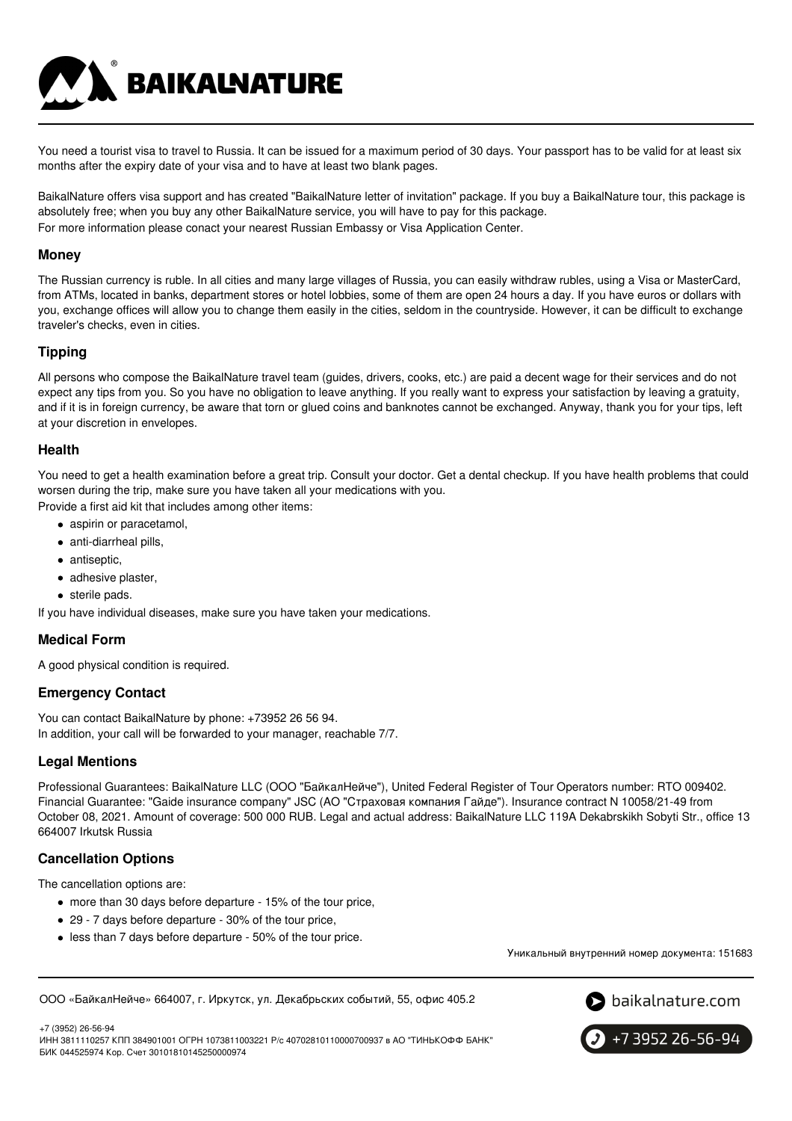You need a tourist visa to travel to Russia. It can be issued for a maximum period of 30 days. Your passport has to be valid for at least six months after the expiry date of your visa and to have at least two blank pages.

BaikalNature offers visa support and has created "BaikalNature letter of invitation" package. If you buy a BaikalNature tour, this package is absolutely free; when you buy any other BaikalNature service, you will have to pay for this package. For more information please conact your nearest Russian Embassy or Visa Application Center.

#### **Money**

The Russian currency is ruble. In all cities and many large villages of Russia, you can easily withdraw rubles, using a Visa or MasterCard, from ATMs, located in banks, department stores or hotel lobbies, some of them are open 24 hours a day. If you have euros or dollars with you, exchange offices will allow you to change them easily in the cities, seldom in the countryside. However, it can be difficult to exchange traveler's checks, even in cities.

#### **Tipping**

All persons who compose the BaikalNature travel team (guides, drivers, cooks, etc.) are paid a decent wage for their services and do not expect any tips from you. So you have no obligation to leave anything. If you really want to express your satisfaction by leaving a gratuity, and if it is in foreign currency, be aware that torn or glued coins and banknotes cannot be exchanged. Anyway, thank you for your tips, left at your discretion in envelopes.

#### **Health**

You need to get a health examination before a great trip. Consult your doctor. Get a dental checkup. If you have health problems that could worsen during the trip, make sure you have taken all your medications with you.

Provide a first aid kit that includes among other items:

- aspirin or paracetamol,
- anti-diarrheal pills,
- antiseptic,
- adhesive plaster,
- sterile pads.

If you have individual diseases, make sure you have taken your medications.

**BAIKALNATURE** 

# **Medical Form**

A good physical condition is required.

# **Emergency Contact**

You can contact BaikalNature by phone: +73952 26 56 94. In addition, your call will be forwarded to your manager, reachable 7/7.

#### **Legal Mentions**

Professional Guarantees: BaikalNature LLC (ООО "БайкалНейче"), United Federal Register of Tour Operators number: RTO 009402. Financial Guarantee: "Gaide insurance company" JSC (АО "Страховая компания Гайде"). Insurance contract N 10058/21-49 from October 08, 2021. Amount of coverage: 500 000 RUB. Legal and actual address: BaikalNature LLC 119А Dekabrskikh Sobyti Str., office 13 664007 Irkutsk Russia

#### **Cancellation Options**

The cancellation options are:

- more than 30 days before departure 15% of the tour price,
- 29 7 days before departure 30% of the tour price,
- less than 7 days before departure 50% of the tour price.

Уникальный внутренний номер документа: 151683

ООО «БайкалНейче» 664007, г. Иркутск, ул. Декабрьских событий, 55, офис 405.2